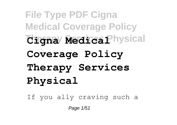**File Type PDF Cigna Medical Coverage Policy Tigna Medica Physical Coverage Policy Therapy Services Physical**

If you ally craving such a

Page 1/51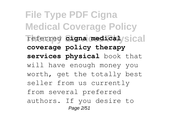**File Type PDF Cigna Medical Coverage Policy** referred **cigna medical/sical coverage policy therapy services physical** book that will have enough money you worth, get the totally best seller from us currently from several preferred authors. If you desire to Page 2/51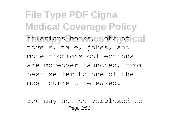**File Type PDF Cigna Medical Coverage Policy** hilarious books, lots of cal novels, tale, jokes, and more fictions collections are moreover launched, from best seller to one of the most current released.

You may not be perplexed to Page 3/51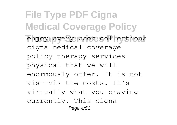**File Type PDF Cigna Medical Coverage Policy** enjoy every book collections cigna medical coverage policy therapy services physical that we will enormously offer. It is not vis--vis the costs. It's virtually what you craving currently. This cigna Page 4/51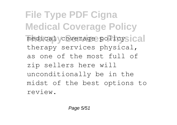**File Type PDF Cigna Medical Coverage Policy** medical coverage policysical therapy services physical, as one of the most full of zip sellers here will unconditionally be in the midst of the best options to review.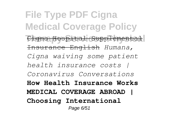**File Type PDF Cigna Medical Coverage Policy Therapy Services Physical** Cigna Hospital Supplemental Insurance English *Humana, Cigna waiving some patient health insurance costs | Coronavirus Conversations* **How Health Insurance Works MEDICAL COVERAGE ABROAD | Choosing International** Page 6/51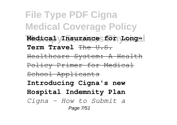**File Type PDF Cigna Medical Coverage Policy** Medical **Insurance** for Long-**Term Travel** The U.S. Healthcare System: A Health Policy Primer for Medical School Applicants **Introducing Cigna's new Hospital Indemnity Plan** *Cigna - How to Submit a* Page 7/51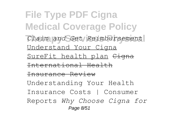**File Type PDF Cigna Medical Coverage Policy Therapy Services Physical** *Claim and Get Reimbursement* Understand Your Cigna SureFit health plan <del>Cigna</del> International Health Insurance Review Understanding Your Health Insurance Costs | Consumer Reports *Why Choose Cigna for* Page 8/51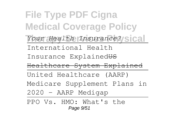**File Type PDF Cigna Medical Coverage Policy** Your Health *Insurance?* Sical International Health Insurance Explained US Healthcare System Explained United Healthcare (AARP) Medicare Supplement Plans in 2020 - AARP Medigap PPO Vs. HMO: What's the Page 9/51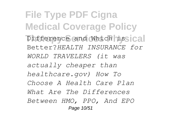**File Type PDF Cigna Medical Coverage Policy** Difference and Which issical Better?*HEALTH INSURANCE for WORLD TRAVELERS (it was actually cheaper than healthcare.gov) How To Choose A Health Care Plan What Are The Differences Between HMO, PPO, And EPO* Page 10/51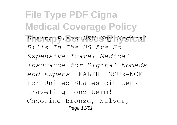**File Type PDF Cigna Medical Coverage Policy Therapy Services Physical** *Health Plans NEW Why Medical Bills In The US Are So Expensive Travel Medical Insurance for Digital Nomads and Expats* HEALTH INSURANCE for United States citizens traveling long-term! Choosing Bronze, Silver, Page 11/51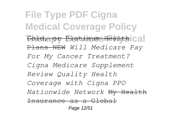**File Type PDF Cigna Medical Coverage Policy Therapy Services Platinum Healthcal** Plans NEW *Will Medicare Pay For My Cancer Treatment? Cigna Medicare Supplement Review Quality Health Coverage with Cigna PPO Nationwide Network* My Health Insurance as a Global Page 12/51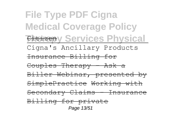**File Type PDF Cigna Medical Coverage Policy Therapy Services Physical** Cigna's Ancillary Products Insurance Billing for Couples Therapy - Ask a Biller Webinar, presented by SimplePractice Working with Secondary Claims - Insurance Billing for private Page 13/51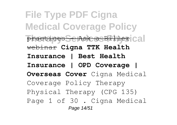**File Type PDF Cigna Medical Coverage Policy Practices Se Ask a Biller** Cal webinar **Cigna TTK Health Insurance | Best Health Insurance | OPD Coverage | Overseas Cover** Cigna Medical Coverage Policy Therapy Physical Therapy (CPG 135) Page 1 of 30 . Cigna Medical Page 14/51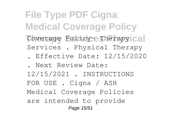**File Type PDF Cigna Medical Coverage Policy** Coverage Policy- Therapy Cal Services . Physical Therapy . Effective Date: 12/15/2020

. Next Review Date:

12/15/2021 . INSTRUCTIONS FOR USE . Cigna / ASH Medical Coverage Policies are intended to provide Page 15/51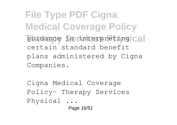**File Type PDF Cigna Medical Coverage Policy** guidance in interpreting cal certain standard benefit plans administered by Cigna Companies.

Cigna Medical Coverage Policy- Therapy Services Physical ... Page 16/51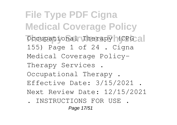**File Type PDF Cigna Medical Coverage Policy** Occupational Therapy (CPG al 155) Page 1 of 24 . Cigna Medical Coverage Policy-Therapy Services . Occupational Therapy . Effective Date: 3/15/2021 . Next Review Date: 12/15/2021 . INSTRUCTIONS FOR USE . Page 17/51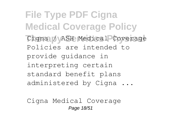**File Type PDF Cigna Medical Coverage Policy Therapy Services Physical** Cigna / ASH Medical Coverage Policies are intended to provide guidance in interpreting certain standard benefit plans administered by Cigna ...

Cigna Medical Coverage Page 18/51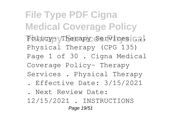**File Type PDF Cigna Medical Coverage Policy** Policy- Therapy Services ... Physical Therapy (CPG 135) Page 1 of 30 . Cigna Medical Coverage Policy- Therapy Services . Physical Therapy

- . Effective Date: 3/15/2021
- . Next Review Date:

12/15/2021 . INSTRUCTIONS Page 19/51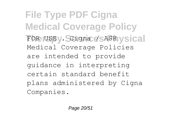**File Type PDF Cigna Medical Coverage Policy** FOR USEV. Scigna / SASH vsical Medical Coverage Policies are intended to provide guidance in interpreting certain standard benefit plans administered by Cigna Companies.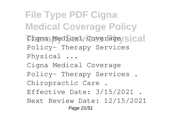**File Type PDF Cigna Medical Coverage Policy** Cigna Medical Coverage Sical Policy- Therapy Services Physical ... Cigna Medical Coverage Policy- Therapy Services . Chiropractic Care . Effective Date: 3/15/2021 . Next Review Date: 12/15/2021 Page 21/51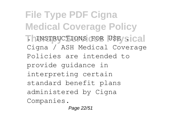**File Type PDF Cigna Medical Coverage Policy ThINSTRUCTIONS FOR USE/Sical** Cigna / ASH Medical Coverage Policies are intended to provide guidance in interpreting certain standard benefit plans administered by Cigna Companies.

Page 22/51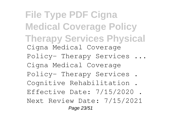**File Type PDF Cigna Medical Coverage Policy Therapy Services Physical** Cigna Medical Coverage Policy- Therapy Services ... Cigna Medical Coverage Policy- Therapy Services . Cognitive Rehabilitation . Effective Date: 7/15/2020 . Next Review Date: 7/15/2021 Page 23/51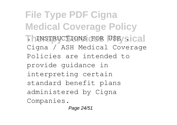**File Type PDF Cigna Medical Coverage Policy ThINSTRUCTIONS FOR USE/Sical** Cigna / ASH Medical Coverage Policies are intended to provide guidance in interpreting certain standard benefit plans administered by Cigna Companies.

Page 24/51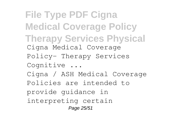**File Type PDF Cigna Medical Coverage Policy Therapy Services Physical** Cigna Medical Coverage Policy- Therapy Services Cognitive ... Cigna / ASH Medical Coverage Policies are intended to provide guidance in interpreting certain Page 25/51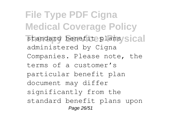**File Type PDF Cigna Medical Coverage Policy** standard benefit plansysical administered by Cigna Companies. Please note, the terms of a customer's particular benefit plan document may differ significantly from the standard benefit plans upon Page 26/51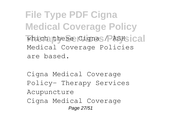**File Type PDF Cigna Medical Coverage Policy** which these Cigna / ASHsical Medical Coverage Policies are based.

Cigna Medical Coverage Policy- Therapy Services Acupuncture Cigna Medical Coverage Page 27/51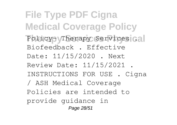**File Type PDF Cigna Medical Coverage Policy** Policy- Therapy Services **Cal** Biofeedback . Effective Date: 11/15/2020 . Next Review Date: 11/15/2021 . INSTRUCTIONS FOR USE . Cigna / ASH Medical Coverage Policies are intended to provide guidance in Page 28/51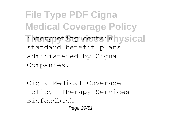**File Type PDF Cigna Medical Coverage Policy** interpreting certain **Waldel** standard benefit plans administered by Cigna Companies.

Cigna Medical Coverage Policy- Therapy Services Biofeedback Page 29/51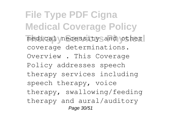**File Type PDF Cigna Medical Coverage Policy** medical necessity and other coverage determinations. Overview . This Coverage Policy addresses speech therapy services including speech therapy, voice therapy, swallowing/feeding therapy and aural/auditory Page 30/51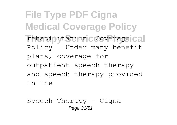**File Type PDF Cigna Medical Coverage Policy** rehabilitation. Coverage<sup>cal</sup> Policy . Under many benefit plans, coverage for outpatient speech therapy and speech therapy provided in the

Speech Therapy - Cigna Page 31/51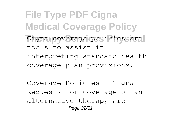**File Type PDF Cigna Medical Coverage Policy** Cigna coverage policies are tools to assist in interpreting standard health coverage plan provisions.

Coverage Policies | Cigna Requests for coverage of an alternative therapy are Page 32/51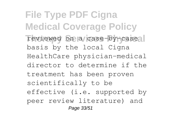**File Type PDF Cigna Medical Coverage Policy** reviewed on a case-by-case basis by the local Cigna HealthCare physician-medical director to determine if the treatment has been proven scientifically to be effective (i.e. supported by peer review literature) and Page 33/51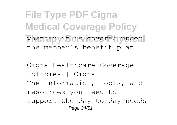**File Type PDF Cigna Medical Coverage Policy** whether it is covered under the member's benefit plan.

Cigna Healthcare Coverage Policies | Cigna The information, tools, and resources you need to support the day-to-day needs Page 34/51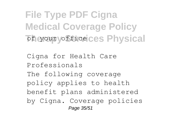**File Type PDF Cigna Medical Coverage Policy The Your office ces Physical** 

Cigna for Health Care Professionals The following coverage policy applies to health benefit plans administered by Cigna. Coverage policies Page 35/51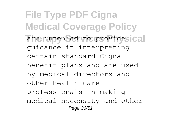**File Type PDF Cigna Medical Coverage Policy** are intended to provides cal guidance in interpreting certain standard Cigna benefit plans and are used by medical directors and other health care professionals in making medical necessity and other Page 36/51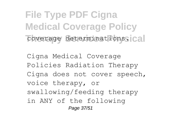**File Type PDF Cigna Medical Coverage Policy** coverage determinations. cal

Cigna Medical Coverage Policies Radiation Therapy Cigna does not cover speech, voice therapy, or swallowing/feeding therapy in ANY of the following Page 37/51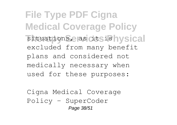**File Type PDF Cigna Medical Coverage Policy** situations, as dtsis **was** cal excluded from many benefit plans and considered not medically necessary when used for these purposes:

Cigna Medical Coverage Policy - SuperCoder Page 38/51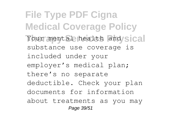**File Type PDF Cigna Medical Coverage Policy** Your mental health and/sical substance use coverage is included under your employer's medical plan; there's no separate deductible. Check your plan documents for information about treatments as you may Page 39/51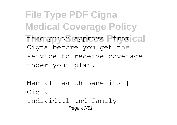**File Type PDF Cigna Medical Coverage Policy** need prior approval from cal Cigna before you get the service to receive coverage under your plan.

Mental Health Benefits | Cigna Individual and family Page 40/51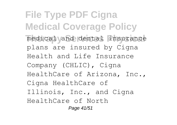**File Type PDF Cigna Medical Coverage Policy** medical vand dental insurance plans are insured by Cigna Health and Life Insurance Company (CHLIC), Cigna HealthCare of Arizona, Inc., Cigna HealthCare of Illinois, Inc., and Cigna HealthCare of North Page 41/51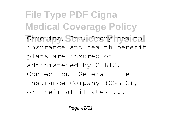**File Type PDF Cigna Medical Coverage Policy** Carolina, SInc. Group health insurance and health benefit plans are insured or administered by CHLIC, Connecticut General Life Insurance Company (CGLIC), or their affiliates ...

Page 42/51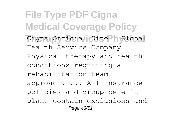**File Type PDF Cigna Medical Coverage Policy** Cigna Official Site hyGlobal Health Service Company Physical therapy and health conditions requiring a rehabilitation team approach. ... All insurance policies and group benefit plans contain exclusions and Page 43/51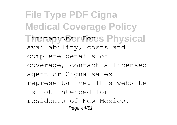**File Type PDF Cigna Medical Coverage Policy Timitations. Fores Physical** availability, costs and complete details of coverage, contact a licensed agent or Cigna sales representative. This website is not intended for residents of New Mexico. Page 44/51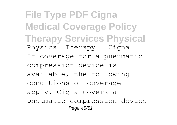**File Type PDF Cigna Medical Coverage Policy Therapy Services Physical** Physical Therapy | Cigna If coverage for a pneumatic compression device is available, the following conditions of coverage apply. Cigna covers a pneumatic compression device Page 45/51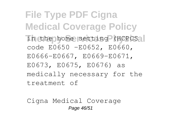**File Type PDF Cigna Medical Coverage Policy** in the home setting (HCPCS<sub>3</sub>) code E0650 –E0652, E0660, E0666–E0667, E0669–E0671, E0673, E0675, E0676) as medically necessary for the treatment of

Cigna Medical Coverage Page 46/51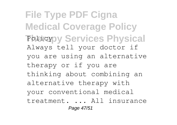**File Type PDF Cigna Medical Coverage Policy Policypy Services Physical** Always tell your doctor if you are using an alternative therapy or if you are thinking about combining an alternative therapy with your conventional medical treatment. ... All insurance Page 47/51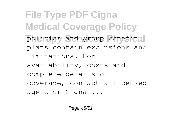**File Type PDF Cigna Medical Coverage Policy** policies and group benefital plans contain exclusions and limitations. For availability, costs and complete details of coverage, contact a licensed agent or Cigna ...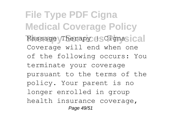**File Type PDF Cigna Medical Coverage Policy** Massage Therapy (SCignasical Coverage will end when one of the following occurs: You terminate your coverage pursuant to the terms of the policy. Your parent is no longer enrolled in group health insurance coverage, Page 49/51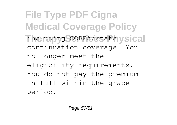**File Type PDF Cigna Medical Coverage Policy** including COBRA/state vsical continuation coverage. You no longer meet the eligibility requirements. You do not pay the premium in full within the grace period.